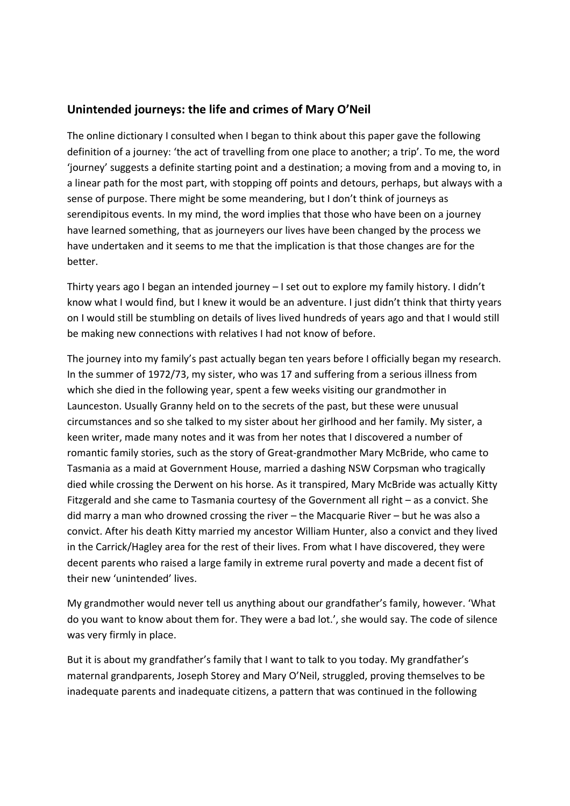## **Unintended journeys: the life and crimes of Mary O'Neil**

The online dictionary I consulted when I began to think about this paper gave the following definition of a journey: 'the act of travelling from one place to another; a trip'. To me, the word 'journey' suggests a definite starting point and a destination; a moving from and a moving to, in a linear path for the most part, with stopping off points and detours, perhaps, but always with a sense of purpose. There might be some meandering, but I don't think of journeys as serendipitous events. In my mind, the word implies that those who have been on a journey have learned something, that as journeyers our lives have been changed by the process we have undertaken and it seems to me that the implication is that those changes are for the better.

Thirty years ago I began an intended journey – I set out to explore my family history. I didn't know what I would find, but I knew it would be an adventure. I just didn't think that thirty years on I would still be stumbling on details of lives lived hundreds of years ago and that I would still be making new connections with relatives I had not know of before.

The journey into my family's past actually began ten years before I officially began my research. In the summer of 1972/73, my sister, who was 17 and suffering from a serious illness from which she died in the following year, spent a few weeks visiting our grandmother in Launceston. Usually Granny held on to the secrets of the past, but these were unusual circumstances and so she talked to my sister about her girlhood and her family. My sister, a keen writer, made many notes and it was from her notes that I discovered a number of romantic family stories, such as the story of Great-grandmother Mary McBride, who came to Tasmania as a maid at Government House, married a dashing NSW Corpsman who tragically died while crossing the Derwent on his horse. As it transpired, Mary McBride was actually Kitty Fitzgerald and she came to Tasmania courtesy of the Government all right – as a convict. She did marry a man who drowned crossing the river – the Macquarie River – but he was also a convict. After his death Kitty married my ancestor William Hunter, also a convict and they lived in the Carrick/Hagley area for the rest of their lives. From what I have discovered, they were decent parents who raised a large family in extreme rural poverty and made a decent fist of their new 'unintended' lives.

My grandmother would never tell us anything about our grandfather's family, however. 'What do you want to know about them for. They were a bad lot.', she would say. The code of silence was very firmly in place.

But it is about my grandfather's family that I want to talk to you today. My grandfather's maternal grandparents, Joseph Storey and Mary O'Neil, struggled, proving themselves to be inadequate parents and inadequate citizens, a pattern that was continued in the following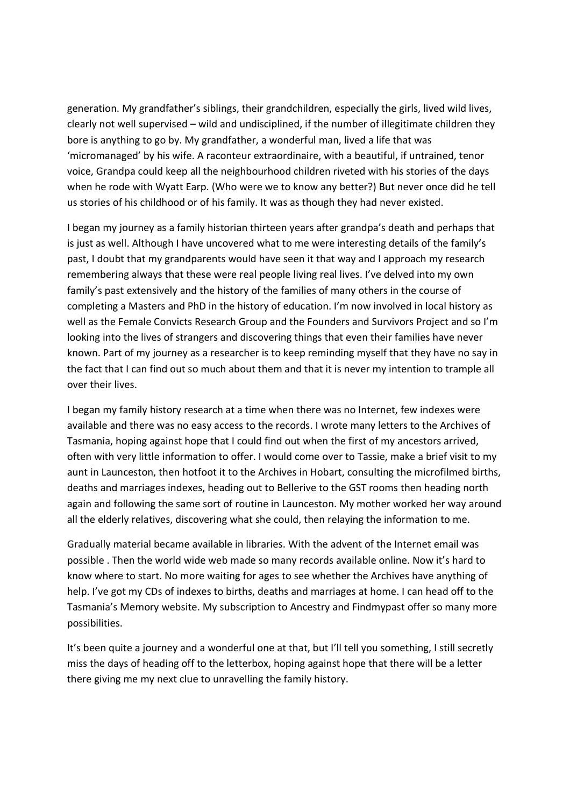generation. My grandfather's siblings, their grandchildren, especially the girls, lived wild lives, clearly not well supervised – wild and undisciplined, if the number of illegitimate children they bore is anything to go by. My grandfather, a wonderful man, lived a life that was 'micromanaged' by his wife. A raconteur extraordinaire, with a beautiful, if untrained, tenor voice, Grandpa could keep all the neighbourhood children riveted with his stories of the days when he rode with Wyatt Earp. (Who were we to know any better?) But never once did he tell us stories of his childhood or of his family. It was as though they had never existed.

I began my journey as a family historian thirteen years after grandpa's death and perhaps that is just as well. Although I have uncovered what to me were interesting details of the family's past, I doubt that my grandparents would have seen it that way and I approach my research remembering always that these were real people living real lives. I've delved into my own family's past extensively and the history of the families of many others in the course of completing a Masters and PhD in the history of education. I'm now involved in local history as well as the Female Convicts Research Group and the Founders and Survivors Project and so I'm looking into the lives of strangers and discovering things that even their families have never known. Part of my journey as a researcher is to keep reminding myself that they have no say in the fact that I can find out so much about them and that it is never my intention to trample all over their lives.

I began my family history research at a time when there was no Internet, few indexes were available and there was no easy access to the records. I wrote many letters to the Archives of Tasmania, hoping against hope that I could find out when the first of my ancestors arrived, often with very little information to offer. I would come over to Tassie, make a brief visit to my aunt in Launceston, then hotfoot it to the Archives in Hobart, consulting the microfilmed births, deaths and marriages indexes, heading out to Bellerive to the GST rooms then heading north again and following the same sort of routine in Launceston. My mother worked her way around all the elderly relatives, discovering what she could, then relaying the information to me.

Gradually material became available in libraries. With the advent of the Internet email was possible . Then the world wide web made so many records available online. Now it's hard to know where to start. No more waiting for ages to see whether the Archives have anything of help. I've got my CDs of indexes to births, deaths and marriages at home. I can head off to the Tasmania's Memory website. My subscription to Ancestry and Findmypast offer so many more possibilities.

It's been quite a journey and a wonderful one at that, but I'll tell you something, I still secretly miss the days of heading off to the letterbox, hoping against hope that there will be a letter there giving me my next clue to unravelling the family history.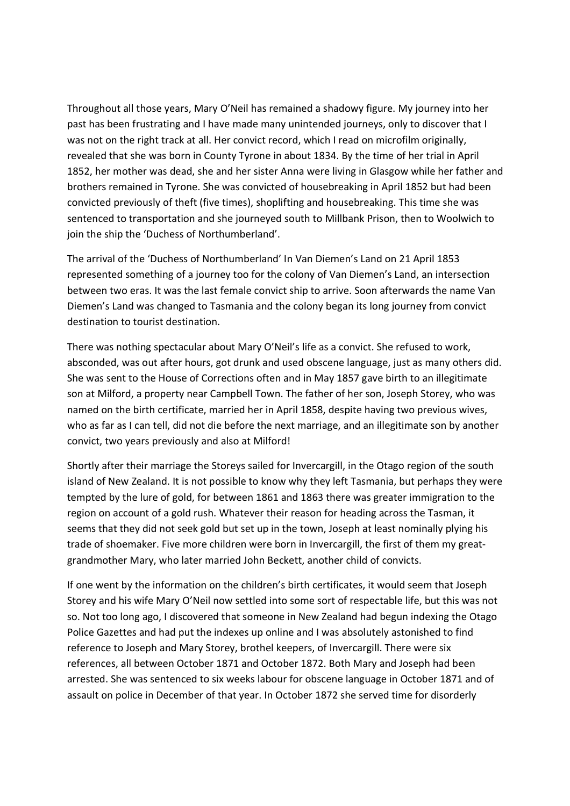Throughout all those years, Mary O'Neil has remained a shadowy figure. My journey into her past has been frustrating and I have made many unintended journeys, only to discover that I was not on the right track at all. Her convict record, which I read on microfilm originally, revealed that she was born in County Tyrone in about 1834. By the time of her trial in April 1852, her mother was dead, she and her sister Anna were living in Glasgow while her father and brothers remained in Tyrone. She was convicted of housebreaking in April 1852 but had been convicted previously of theft (five times), shoplifting and housebreaking. This time she was sentenced to transportation and she journeyed south to Millbank Prison, then to Woolwich to join the ship the 'Duchess of Northumberland'.

The arrival of the 'Duchess of Northumberland' In Van Diemen's Land on 21 April 1853 represented something of a journey too for the colony of Van Diemen's Land, an intersection between two eras. It was the last female convict ship to arrive. Soon afterwards the name Van Diemen's Land was changed to Tasmania and the colony began its long journey from convict destination to tourist destination.

There was nothing spectacular about Mary O'Neil's life as a convict. She refused to work, absconded, was out after hours, got drunk and used obscene language, just as many others did. She was sent to the House of Corrections often and in May 1857 gave birth to an illegitimate son at Milford, a property near Campbell Town. The father of her son, Joseph Storey, who was named on the birth certificate, married her in April 1858, despite having two previous wives, who as far as I can tell, did not die before the next marriage, and an illegitimate son by another convict, two years previously and also at Milford!

Shortly after their marriage the Storeys sailed for Invercargill, in the Otago region of the south island of New Zealand. It is not possible to know why they left Tasmania, but perhaps they were tempted by the lure of gold, for between 1861 and 1863 there was greater immigration to the region on account of a gold rush. Whatever their reason for heading across the Tasman, it seems that they did not seek gold but set up in the town, Joseph at least nominally plying his trade of shoemaker. Five more children were born in Invercargill, the first of them my greatgrandmother Mary, who later married John Beckett, another child of convicts.

If one went by the information on the children's birth certificates, it would seem that Joseph Storey and his wife Mary O'Neil now settled into some sort of respectable life, but this was not so. Not too long ago, I discovered that someone in New Zealand had begun indexing the Otago Police Gazettes and had put the indexes up online and I was absolutely astonished to find reference to Joseph and Mary Storey, brothel keepers, of Invercargill. There were six references, all between October 1871 and October 1872. Both Mary and Joseph had been arrested. She was sentenced to six weeks labour for obscene language in October 1871 and of assault on police in December of that year. In October 1872 she served time for disorderly